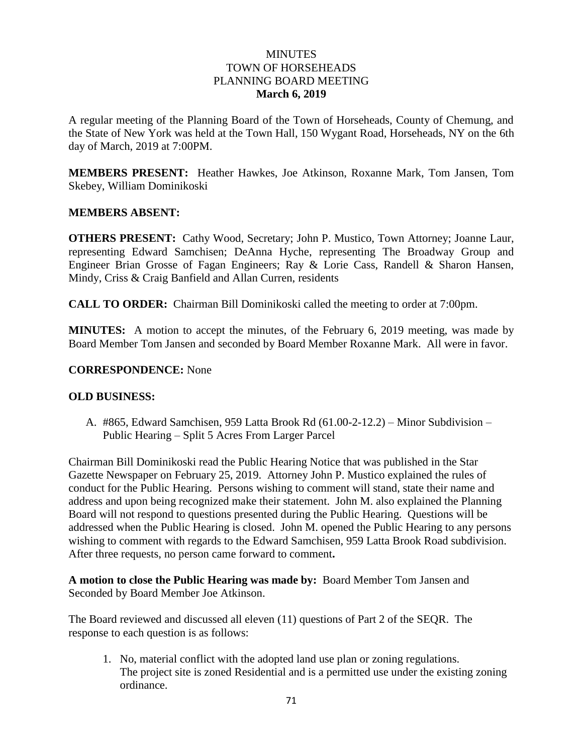#### **MINUTES** TOWN OF HORSEHEADS PLANNING BOARD MEETING **March 6, 2019**

A regular meeting of the Planning Board of the Town of Horseheads, County of Chemung, and the State of New York was held at the Town Hall, 150 Wygant Road, Horseheads, NY on the 6th day of March, 2019 at 7:00PM.

**MEMBERS PRESENT:** Heather Hawkes, Joe Atkinson, Roxanne Mark, Tom Jansen, Tom Skebey, William Dominikoski

#### **MEMBERS ABSENT:**

**OTHERS PRESENT:** Cathy Wood, Secretary; John P. Mustico, Town Attorney; Joanne Laur, representing Edward Samchisen; DeAnna Hyche, representing The Broadway Group and Engineer Brian Grosse of Fagan Engineers; Ray & Lorie Cass, Randell & Sharon Hansen, Mindy, Criss & Craig Banfield and Allan Curren, residents

**CALL TO ORDER:** Chairman Bill Dominikoski called the meeting to order at 7:00pm.

**MINUTES:** A motion to accept the minutes, of the February 6, 2019 meeting, was made by Board Member Tom Jansen and seconded by Board Member Roxanne Mark. All were in favor.

#### **CORRESPONDENCE:** None

#### **OLD BUSINESS:**

A. #865, Edward Samchisen, 959 Latta Brook Rd (61.00-2-12.2) – Minor Subdivision – Public Hearing – Split 5 Acres From Larger Parcel

Chairman Bill Dominikoski read the Public Hearing Notice that was published in the Star Gazette Newspaper on February 25, 2019. Attorney John P. Mustico explained the rules of conduct for the Public Hearing. Persons wishing to comment will stand, state their name and address and upon being recognized make their statement. John M. also explained the Planning Board will not respond to questions presented during the Public Hearing. Questions will be addressed when the Public Hearing is closed. John M. opened the Public Hearing to any persons wishing to comment with regards to the Edward Samchisen, 959 Latta Brook Road subdivision. After three requests, no person came forward to comment**.**

**A motion to close the Public Hearing was made by:** Board Member Tom Jansen and Seconded by Board Member Joe Atkinson.

The Board reviewed and discussed all eleven (11) questions of Part 2 of the SEQR. The response to each question is as follows:

1. No, material conflict with the adopted land use plan or zoning regulations. The project site is zoned Residential and is a permitted use under the existing zoning ordinance.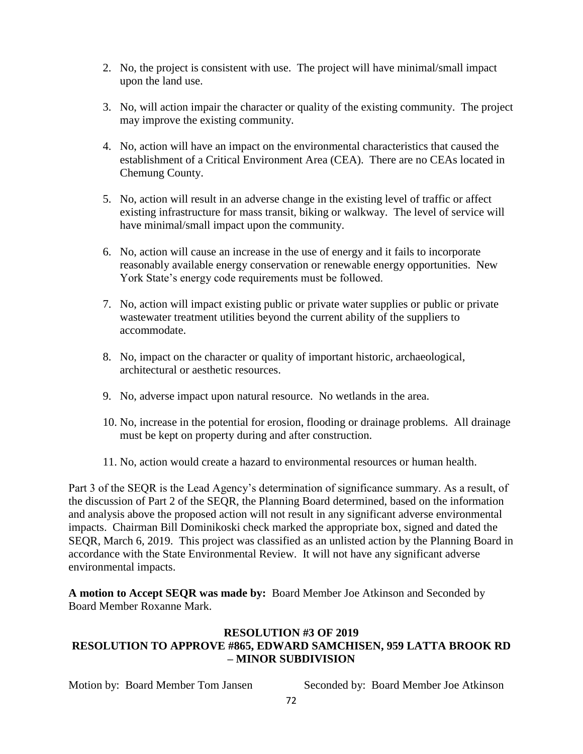- 2. No, the project is consistent with use. The project will have minimal/small impact upon the land use.
- 3. No, will action impair the character or quality of the existing community. The project may improve the existing community.
- 4. No, action will have an impact on the environmental characteristics that caused the establishment of a Critical Environment Area (CEA). There are no CEAs located in Chemung County.
- 5. No, action will result in an adverse change in the existing level of traffic or affect existing infrastructure for mass transit, biking or walkway. The level of service will have minimal/small impact upon the community.
- 6. No, action will cause an increase in the use of energy and it fails to incorporate reasonably available energy conservation or renewable energy opportunities. New York State's energy code requirements must be followed.
- 7. No, action will impact existing public or private water supplies or public or private wastewater treatment utilities beyond the current ability of the suppliers to accommodate.
- 8. No, impact on the character or quality of important historic, archaeological, architectural or aesthetic resources.
- 9. No, adverse impact upon natural resource. No wetlands in the area.
- 10. No, increase in the potential for erosion, flooding or drainage problems. All drainage must be kept on property during and after construction.
- 11. No, action would create a hazard to environmental resources or human health.

Part 3 of the SEQR is the Lead Agency's determination of significance summary. As a result, of the discussion of Part 2 of the SEQR, the Planning Board determined, based on the information and analysis above the proposed action will not result in any significant adverse environmental impacts. Chairman Bill Dominikoski check marked the appropriate box, signed and dated the SEQR, March 6, 2019. This project was classified as an unlisted action by the Planning Board in accordance with the State Environmental Review. It will not have any significant adverse environmental impacts.

**A motion to Accept SEQR was made by:** Board Member Joe Atkinson and Seconded by Board Member Roxanne Mark.

### **RESOLUTION #3 OF 2019 RESOLUTION TO APPROVE #865, EDWARD SAMCHISEN, 959 LATTA BROOK RD – MINOR SUBDIVISION**

Motion by: Board Member Tom Jansen Seconded by: Board Member Joe Atkinson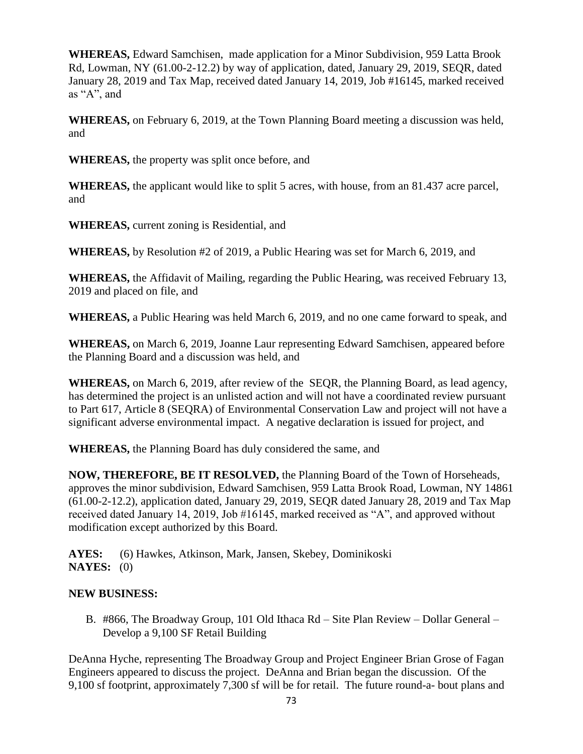**WHEREAS,** Edward Samchisen, made application for a Minor Subdivision, 959 Latta Brook Rd, Lowman, NY (61.00-2-12.2) by way of application, dated, January 29, 2019, SEQR, dated January 28, 2019 and Tax Map, received dated January 14, 2019, Job #16145, marked received as "A", and

**WHEREAS,** on February 6, 2019, at the Town Planning Board meeting a discussion was held, and

**WHEREAS,** the property was split once before, and

**WHEREAS,** the applicant would like to split 5 acres, with house, from an 81.437 acre parcel, and

**WHEREAS,** current zoning is Residential, and

**WHEREAS,** by Resolution #2 of 2019, a Public Hearing was set for March 6, 2019, and

**WHEREAS,** the Affidavit of Mailing, regarding the Public Hearing, was received February 13, 2019 and placed on file, and

**WHEREAS,** a Public Hearing was held March 6, 2019, and no one came forward to speak, and

**WHEREAS,** on March 6, 2019, Joanne Laur representing Edward Samchisen, appeared before the Planning Board and a discussion was held, and

**WHEREAS,** on March 6, 2019, after review of the SEQR, the Planning Board, as lead agency, has determined the project is an unlisted action and will not have a coordinated review pursuant to Part 617, Article 8 (SEQRA) of Environmental Conservation Law and project will not have a significant adverse environmental impact. A negative declaration is issued for project, and

**WHEREAS,** the Planning Board has duly considered the same, and

**NOW, THEREFORE, BE IT RESOLVED,** the Planning Board of the Town of Horseheads, approves the minor subdivision, Edward Samchisen, 959 Latta Brook Road, Lowman, NY 14861 (61.00-2-12.2), application dated, January 29, 2019, SEQR dated January 28, 2019 and Tax Map received dated January 14, 2019, Job #16145, marked received as "A", and approved without modification except authorized by this Board.

**AYES:** (6) Hawkes, Atkinson, Mark, Jansen, Skebey, Dominikoski **NAYES:** (0)

# **NEW BUSINESS:**

B. #866, The Broadway Group, 101 Old Ithaca Rd – Site Plan Review – Dollar General – Develop a 9,100 SF Retail Building

DeAnna Hyche, representing The Broadway Group and Project Engineer Brian Grose of Fagan Engineers appeared to discuss the project. DeAnna and Brian began the discussion. Of the 9,100 sf footprint, approximately 7,300 sf will be for retail. The future round-a- bout plans and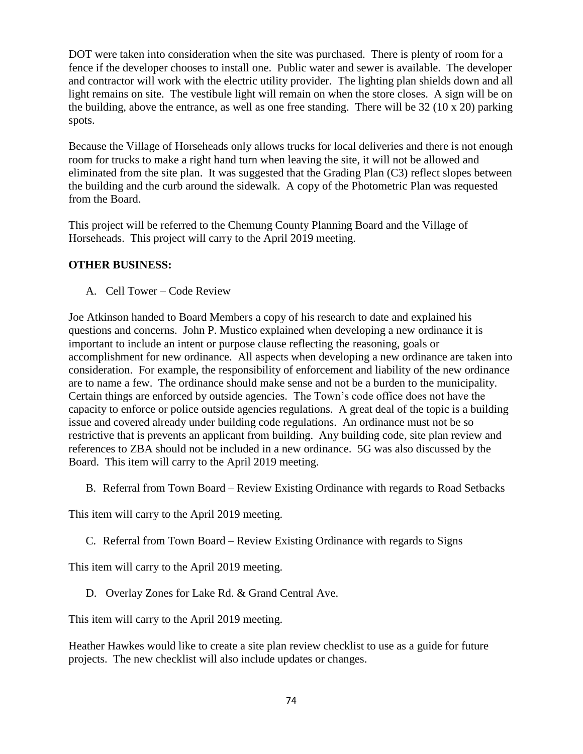DOT were taken into consideration when the site was purchased. There is plenty of room for a fence if the developer chooses to install one. Public water and sewer is available. The developer and contractor will work with the electric utility provider. The lighting plan shields down and all light remains on site. The vestibule light will remain on when the store closes. A sign will be on the building, above the entrance, as well as one free standing. There will be  $32 (10 \times 20)$  parking spots.

Because the Village of Horseheads only allows trucks for local deliveries and there is not enough room for trucks to make a right hand turn when leaving the site, it will not be allowed and eliminated from the site plan. It was suggested that the Grading Plan (C3) reflect slopes between the building and the curb around the sidewalk. A copy of the Photometric Plan was requested from the Board.

This project will be referred to the Chemung County Planning Board and the Village of Horseheads. This project will carry to the April 2019 meeting.

## **OTHER BUSINESS:**

A. Cell Tower – Code Review

Joe Atkinson handed to Board Members a copy of his research to date and explained his questions and concerns. John P. Mustico explained when developing a new ordinance it is important to include an intent or purpose clause reflecting the reasoning, goals or accomplishment for new ordinance. All aspects when developing a new ordinance are taken into consideration. For example, the responsibility of enforcement and liability of the new ordinance are to name a few. The ordinance should make sense and not be a burden to the municipality. Certain things are enforced by outside agencies. The Town's code office does not have the capacity to enforce or police outside agencies regulations. A great deal of the topic is a building issue and covered already under building code regulations. An ordinance must not be so restrictive that is prevents an applicant from building. Any building code, site plan review and references to ZBA should not be included in a new ordinance. 5G was also discussed by the Board. This item will carry to the April 2019 meeting.

B. Referral from Town Board – Review Existing Ordinance with regards to Road Setbacks

This item will carry to the April 2019 meeting.

C. Referral from Town Board – Review Existing Ordinance with regards to Signs

This item will carry to the April 2019 meeting.

D. Overlay Zones for Lake Rd. & Grand Central Ave.

This item will carry to the April 2019 meeting.

Heather Hawkes would like to create a site plan review checklist to use as a guide for future projects. The new checklist will also include updates or changes.